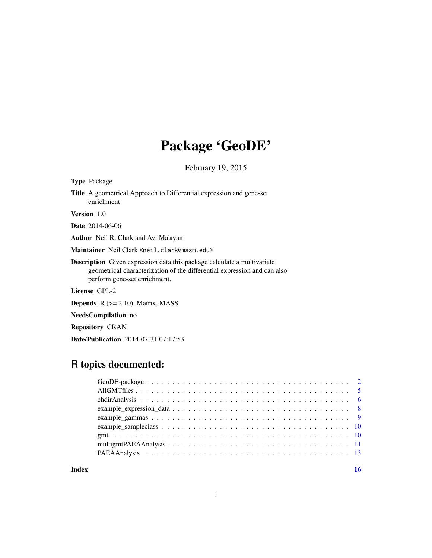# Package 'GeoDE'

February 19, 2015

| <b>Type</b> Package                                                                                                                                                                        |
|--------------------------------------------------------------------------------------------------------------------------------------------------------------------------------------------|
| <b>Title</b> A geometrical Approach to Differential expression and gene-set<br>enrichment                                                                                                  |
| <b>Version</b> 1.0                                                                                                                                                                         |
| <b>Date</b> 2014-06-06                                                                                                                                                                     |
| <b>Author</b> Neil R. Clark and Avi Ma'ayan                                                                                                                                                |
| Maintainer Neil Clark <neil.clark@mssm.edu></neil.clark@mssm.edu>                                                                                                                          |
| <b>Description</b> Given expression data this package calculate a multivariate<br>geometrical characterization of the differential expression and can also<br>perform gene-set enrichment. |
| License GPL-2                                                                                                                                                                              |
| <b>Depends</b> $R (= 2.10)$ , Matrix, MASS                                                                                                                                                 |
| <b>NeedsCompilation</b> no                                                                                                                                                                 |
| <b>Repository CRAN</b>                                                                                                                                                                     |

Date/Publication 2014-07-31 07:17:53

# R topics documented:

# **Index** the contract of the contract of the contract of the contract of the contract of the contract of the contract of the contract of the contract of the contract of the contract of the contract of the contract of the co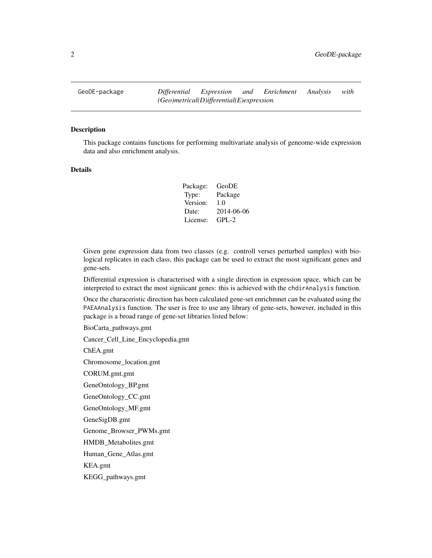<span id="page-1-0"></span>GeoDE-package *Differential Expression and Enrichment Analysis with (Geo)metrical(D)ifferential(E)expression.*

#### Description

This package contains functions for performing multivariate analysis of geneome-wide expression data and also enrichment analysis.

# Details

Package: GeoDE Type: Package Version: 1.0 Date: 2014-06-06 License: GPL-2

Given gene expression data from two classes (e.g. controll verses perturbed samples) with biological replicates in each class, this package can be used to extract the most significant genes and gene-sets.

Differential expression is characterised with a single direction in expression space, which can be interpreted to extract the most signiicant genes: this is achieved with the chdirAnalysis function.

Once the characeristic direction has been calculated gene-set enrichmnet can be evaluated using the PAEAAnalysis function. The user is free to use any library of gene-sets, however, included in this package is a broad range of gene-set libraries listed below:

BioCarta\_pathways.gmt

Cancer\_Cell\_Line\_Encyclopedia.gmt

ChEA.gmt

Chromosome\_location.gmt

CORUM.gmt.gmt

GeneOntology\_BP.gmt

GeneOntology\_CC.gmt

GeneOntology\_MF.gmt

GeneSigDB.gmt

Genome\_Browser\_PWMs.gmt

HMDB\_Metabolites.gmt

Human\_Gene\_Atlas.gmt

KEA.gmt

KEGG\_pathways.gmt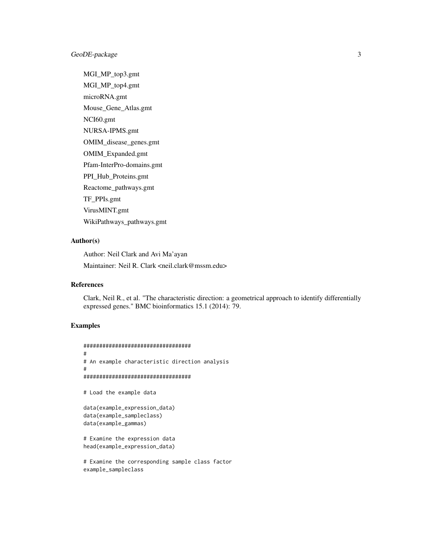# GeoDE-package 3

MGI\_MP\_top3.gmt MGI\_MP\_top4.gmt microRNA.gmt Mouse\_Gene\_Atlas.gmt NCI60.gmt NURSA-IPMS.gmt OMIM\_disease\_genes.gmt OMIM\_Expanded.gmt Pfam-InterPro-domains.gmt PPI\_Hub\_Proteins.gmt Reactome\_pathways.gmt TF\_PPIs.gmt VirusMINT.gmt WikiPathways\_pathways.gmt

# Author(s)

Author: Neil Clark and Avi Ma'ayan Maintainer: Neil R. Clark <neil.clark@mssm.edu>

# References

Clark, Neil R., et al. "The characteristic direction: a geometrical approach to identify differentially expressed genes." BMC bioinformatics 15.1 (2014): 79.

# Examples

```
##################################
#
# An example characteristic direction analysis
#
##################################
# Load the example data
data(example_expression_data)
data(example_sampleclass)
data(example_gammas)
# Examine the expression data
head(example_expression_data)
# Examine the corresponding sample class factor
```
example\_sampleclass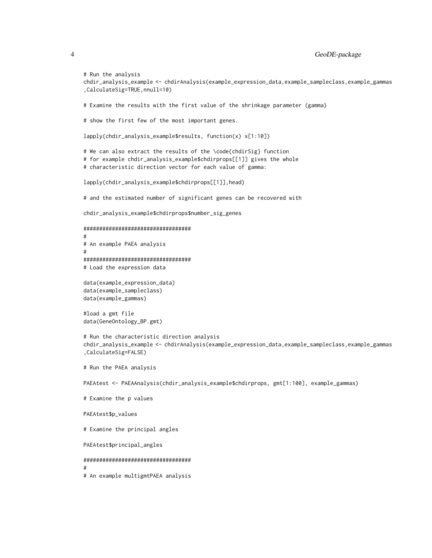```
4 GeoDE-package
```

```
# Run the analysis
chdir_analysis_example <- chdirAnalysis(example_expression_data,example_sampleclass,example_gammas
,CalculateSig=TRUE,nnull=10)
# Examine the results with the first value of the shrinkage parameter (gamma)
# show the first few of the most important genes.
lapply(chdir_analysis_example$results, function(x) x[1:10])
# We can also extract the results of the \code{chdirSig} function
# for example chdir_analysis_example$chdirprops[[1]] gives the whole
# characteristic direction vector for each value of gamma:
lapply(chdir_analysis_example$chdirprops[[1]],head)
# and the estimated number of significant genes can be recovered with
chdir_analysis_example$chdirprops$number_sig_genes
##################################
#
# An example PAEA analysis
#
##################################
# Load the expression data
data(example_expression_data)
data(example_sampleclass)
data(example_gammas)
#load a gmt file
data(GeneOntology_BP.gmt)
# Run the characteristic direction analysis
chdir_analysis_example <- chdirAnalysis(example_expression_data,example_sampleclass,example_gammas
,CalculateSig=FALSE)
# Run the PAEA analysis
PAEAtest <- PAEAAnalysis(chdir_analysis_example$chdirprops, gmt[1:100], example_gammas)
# Examine the p values
PAEAtest$p_values
# Examine the principal angles
PAEAtest$principal_angles
##################################
#
# An example multigmtPAEA analysis
```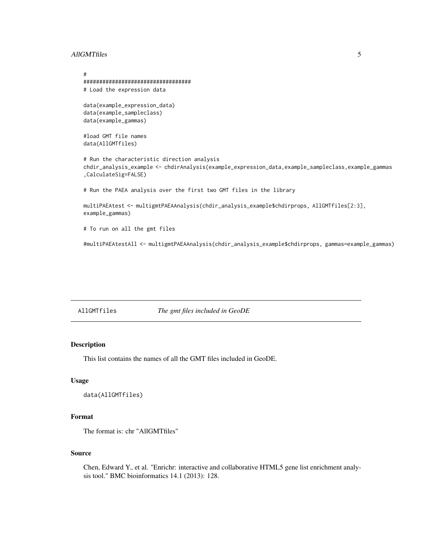#### <span id="page-4-0"></span>AllGMTfiles 5

```
#
##################################
# Load the expression data
data(example_expression_data)
data(example_sampleclass)
data(example_gammas)
#load GMT file names
data(AllGMTfiles)
# Run the characteristic direction analysis
chdir_analysis_example <- chdirAnalysis(example_expression_data,example_sampleclass,example_gammas
,CalculateSig=FALSE)
# Run the PAEA analysis over the first two GMT files in the library
multiPAEAtest <- multigmtPAEAAnalysis(chdir_analysis_example$chdirprops, AllGMTfiles[2:3],
example_gammas)
# To run on all the gmt files
#multiPAEAtestAll <- multigmtPAEAAnalysis(chdir_analysis_example$chdirprops, gammas=example_gammas)
```
AllGMTfiles *The gmt files included in GeoDE*

# Description

This list contains the names of all the GMT files included in GeoDE.

# Usage

```
data(AllGMTfiles)
```
# Format

The format is: chr "AllGMTfiles"

#### Source

Chen, Edward Y., et al. "Enrichr: interactive and collaborative HTML5 gene list enrichment analysis tool." BMC bioinformatics 14.1 (2013): 128.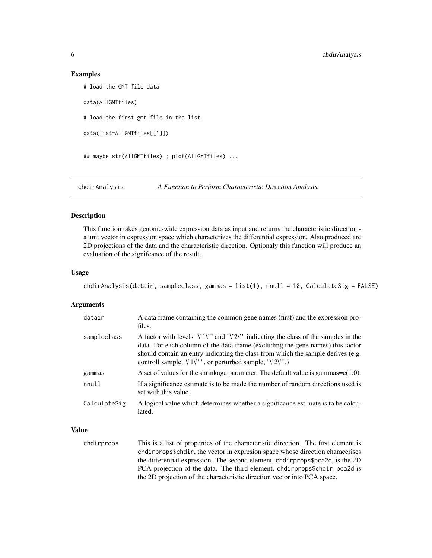#### Examples

```
# load the GMT file data
data(AllGMTfiles)
# load the first gmt file in the list
data(list=AllGMTfiles[[1]])
## maybe str(AllGMTfiles) ; plot(AllGMTfiles) ...
```
chdirAnalysis *A Function to Perform Characteristic Direction Analysis.*

# Description

This function takes genome-wide expression data as input and returns the characteristic direction a unit vector in expression space which characterizes the differential expression. Also produced are 2D projections of the data and the characteristic direction. Optionaly this function will produce an evaluation of the signifcance of the result.

#### Usage

```
chdirAnalysis(datain, sampleclass, gammas = list(1), nnull = 10, CalculateSig = FALSE)
```
#### Arguments

| datain       | A data frame containing the common gene names (first) and the expression pro-<br>files.                                                                                                                                                                                                                                |
|--------------|------------------------------------------------------------------------------------------------------------------------------------------------------------------------------------------------------------------------------------------------------------------------------------------------------------------------|
| sampleclass  | A factor with levels "\'1\'" and "\'2\'" indicating the class of the samples in the<br>data. For each column of the data frame (excluding the gene names) this factor<br>should contain an entry indicating the class from which the sample derives (e.g.<br>controll sample, "\'1\'"", or perturbed sample, "\'2\'".) |
| gammas       | A set of values for the shrinkage parameter. The default value is gammas= $c(1.0)$ .                                                                                                                                                                                                                                   |
| nnu11        | If a significance estimate is to be made the number of random directions used is<br>set with this value.                                                                                                                                                                                                               |
| CalculateSig | A logical value which determines whether a significance estimate is to be calcu-<br>lated.                                                                                                                                                                                                                             |

#### Value

chdirprops This is a list of properties of the characteristic direction. The first element is chdirprops\$chdir, the vector in expresion space whose direction characerises the differential expression. The second element, chdirprops\$pca2d, is the 2D PCA projection of the data. The third element, chdirprops\$chdir\_pca2d is the 2D projection of the characteristic direction vector into PCA space.

<span id="page-5-0"></span>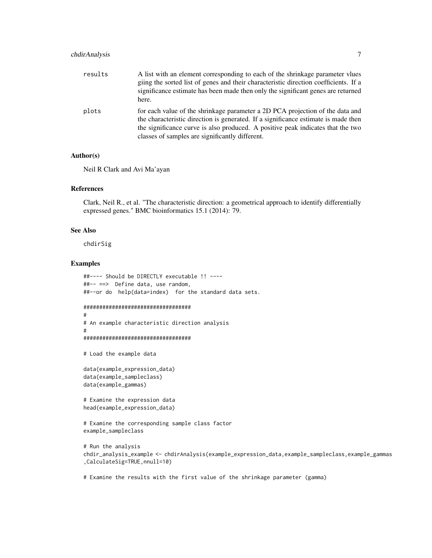# chdirAnalysis 7

| results | A list with an element corresponding to each of the shrinkage parameter vlues<br>giing the sorted list of genes and their characteristic direction coefficients. If a<br>significance estimate has been made then only the significant genes are returned<br>here.                                        |
|---------|-----------------------------------------------------------------------------------------------------------------------------------------------------------------------------------------------------------------------------------------------------------------------------------------------------------|
| plots   | for each value of the shrinkage parameter a 2D PCA projection of the data and<br>the characteristic direction is generated. If a significance estimate is made then<br>the significance curve is also produced. A positive peak indicates that the two<br>classes of samples are significantly different. |

#### Author(s)

Neil R Clark and Avi Ma'ayan

#### References

Clark, Neil R., et al. "The characteristic direction: a geometrical approach to identify differentially expressed genes." BMC bioinformatics 15.1 (2014): 79.

# See Also

chdirSig

#### Examples

#

```
##---- Should be DIRECTLY executable !! ----
##-- ==> Define data, use random,
##--or do help(data=index) for the standard data sets.
##################################
#
# An example characteristic direction analysis
```

```
##################################
```

```
# Load the example data
```

```
data(example_expression_data)
data(example_sampleclass)
data(example_gammas)
```
# Examine the expression data head(example\_expression\_data)

```
# Examine the corresponding sample class factor
example_sampleclass
```

```
# Run the analysis
chdir_analysis_example <- chdirAnalysis(example_expression_data,example_sampleclass,example_gammas
,CalculateSig=TRUE,nnull=10)
```
# Examine the results with the first value of the shrinkage parameter (gamma)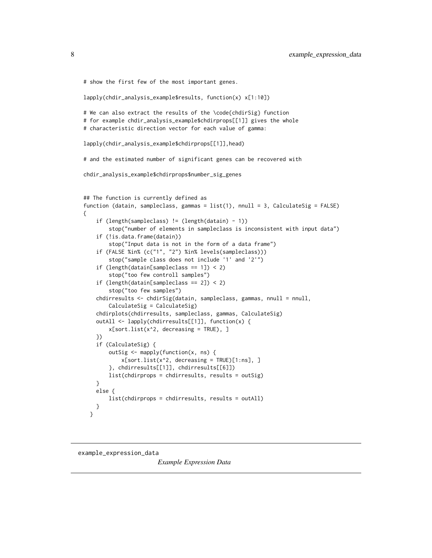```
# show the first few of the most important genes.
lapply(chdir_analysis_example$results, function(x) x[1:10])
# We can also extract the results of the \code{chdirSig} function
# for example chdir_analysis_example$chdirprops[[1]] gives the whole
# characteristic direction vector for each value of gamma:
lapply(chdir_analysis_example$chdirprops[[1]],head)
# and the estimated number of significant genes can be recovered with
chdir_analysis_example$chdirprops$number_sig_genes
## The function is currently defined as
function (datain, sampleclass, gammas = list(1), nnull = 3, CalculateSig = FALSE)
{
    if (length(sampleclass) != (length(datain) - 1))
       stop("number of elements in sampleclass is inconsistent with input data")
    if (!is.data.frame(datain))
       stop("Input data is not in the form of a data frame")
    if (FALSE %in% (c("1", "2") %in% levels(sampleclass)))
        stop("sample class does not include '1' and '2'")
    if (length(datain[sampleclass == 1]) < 2)
       stop("too few controll samples")
    if (length(datain[sampleclass == 2]) < 2)
        stop("too few samples")
    chdirresults <- chdirSig(datain, sampleclass, gammas, nnull = nnull,
       CalculateSig = CalculateSig)
    chdirplots(chdirresults, sampleclass, gammas, CalculateSig)
    outAll <- lapply(chdirresults[[1]], function(x) {
       x[sort.list(x^2, decreasing = TRUE), ]
    })
    if (CalculateSig) {
       outSig <- mapply(function(x, ns) {
            x[sort.list(x^2, decreasing = TRUE)[1:ns], ]
        }, chdirresults[[1]], chdirresults[[6]])
       list(chdirprops = chdirresults, results = outSig)
    }
   else {
       list(chdirprops = chdirresults, results = outAll)
   }
 }
```
example\_expression\_data

*Example Expression Data*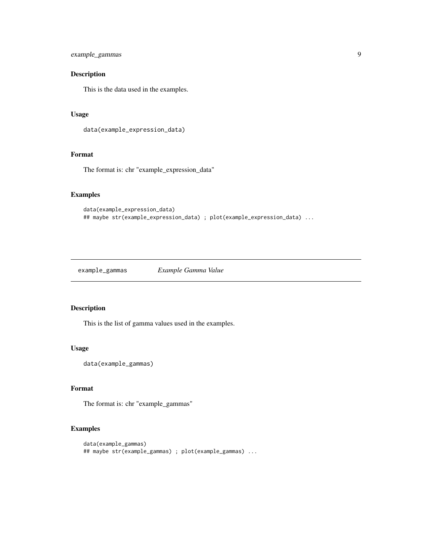```
example_gammas 9
```
# Description

This is the data used in the examples.

# Usage

```
data(example_expression_data)
```
# Format

The format is: chr "example\_expression\_data"

# Examples

```
data(example_expression_data)
## maybe str(example_expression_data) ; plot(example_expression_data) ...
```
example\_gammas *Example Gamma Value*

# Description

This is the list of gamma values used in the examples.

# Usage

```
data(example_gammas)
```
# Format

The format is: chr "example\_gammas"

```
data(example_gammas)
## maybe str(example_gammas) ; plot(example_gammas) ...
```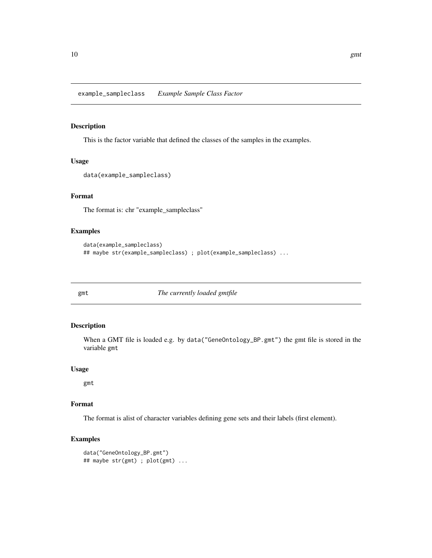<span id="page-9-0"></span>example\_sampleclass *Example Sample Class Factor*

#### Description

This is the factor variable that defined the classes of the samples in the examples.

# Usage

```
data(example_sampleclass)
```
# Format

The format is: chr "example\_sampleclass"

# Examples

```
data(example_sampleclass)
## maybe str(example_sampleclass) ; plot(example_sampleclass) ...
```
gmt *The currently loaded gmtfile*

# Description

When a GMT file is loaded e.g. by data("GeneOntology\_BP.gmt") the gmt file is stored in the variable gmt

#### Usage

gmt

# Format

The format is alist of character variables defining gene sets and their labels (first element).

```
data("GeneOntology_BP.gmt")
## maybe str(gmt) ; plot(gmt) ...
```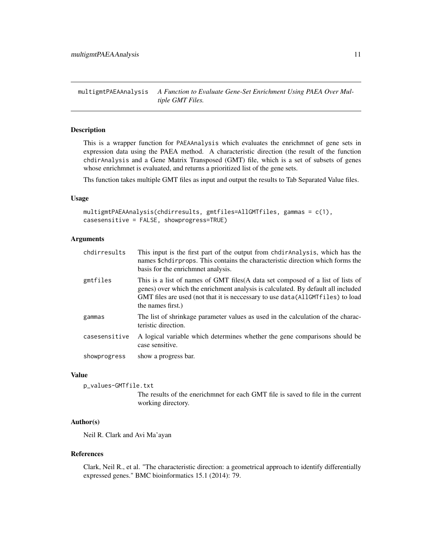<span id="page-10-0"></span>multigmtPAEAAnalysis *A Function to Evaluate Gene-Set Enrichment Using PAEA Over Multiple GMT Files.*

# Description

This is a wrapper function for PAEAAnalysis which evaluates the enrichmnet of gene sets in expression data using the PAEA method. A characteristic direction (the result of the function chdirAnalysis and a Gene Matrix Transposed (GMT) file, which is a set of subsets of genes whose enrichmnet is evaluated, and returns a prioritized list of the gene sets.

Ths function takes multiple GMT files as input and output the results to Tab Separated Value files.

#### Usage

```
multigmtPAEAAnalysis(chdirresults, gmtfiles=AllGMTfiles, gammas = c(1),
casesensitive = FALSE, showprogress=TRUE)
```
### Arguments

| chdirresults  | This input is the first part of the output from chdir Analysis, which has the<br>names \$chairprops. This contains the characteristic direction which forms the<br>basis for the enrichment analysis.                                                                      |
|---------------|----------------------------------------------------------------------------------------------------------------------------------------------------------------------------------------------------------------------------------------------------------------------------|
| gmtfiles      | This is a list of names of GMT files (A data set composed of a list of lists of<br>genes) over which the enrichment analysis is calculated. By default all included<br>GMT files are used (not that it is neccessary to use data(AllGMTfiles) to load<br>the names first.) |
| gammas        | The list of shrinkage parameter values as used in the calculation of the charac-<br>teristic direction.                                                                                                                                                                    |
| casesensitive | A logical variable which determines whether the gene comparisons should be<br>case sensitive.                                                                                                                                                                              |
| showprogress  | show a progress bar.                                                                                                                                                                                                                                                       |

#### Value

p\_values-GMTfile.txt

The results of the enerichmnet for each GMT file is saved to file in the current working directory.

# Author(s)

Neil R. Clark and Avi Ma'ayan

#### References

Clark, Neil R., et al. "The characteristic direction: a geometrical approach to identify differentially expressed genes." BMC bioinformatics 15.1 (2014): 79.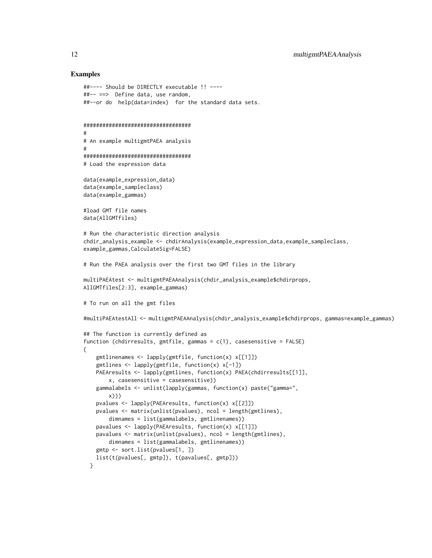```
##---- Should be DIRECTLY executable !! ----
##-- ==> Define data, use random,
##--or do help(data=index) for the standard data sets.
##################################
#
# An example multigmtPAEA analysis
#
##################################
# Load the expression data
data(example_expression_data)
data(example_sampleclass)
data(example_gammas)
#load GMT file names
data(AllGMTfiles)
# Run the characteristic direction analysis
chdir_analysis_example <- chdirAnalysis(example_expression_data,example_sampleclass,
example_gammas,CalculateSig=FALSE)
# Run the PAEA analysis over the first two GMT files in the library
multiPAEAtest <- multigmtPAEAAnalysis(chdir_analysis_example$chdirprops,
AllGMTfiles[2:3], example_gammas)
# To run on all the gmt files
#multiPAEAtestAll <- multigmtPAEAAnalysis(chdir_analysis_example$chdirprops, gammas=example_gammas)
## The function is currently defined as
function (chdirresults, gmtfile, gammas = c(1), casesensitive = FALSE)
{
    gmtlinenames <- lapply(gmtfile, function(x) x[[1]])
    gmtlines <- lapply(gmtfile, function(x) x[-1])
   PAEAresults <- lapply(gmtlines, function(x) PAEA(chdirresults[[1]],
       x, casesensitive = casesensitive))
    gammalabels <- unlist(lapply(gammas, function(x) paste("gamma=",
       x)))
    pvalues <- lapply(PAEAresults, function(x) x[[2]])
    pvalues <- matrix(unlist(pvalues), ncol = length(gmtlines),
       dimnames = list(gammalabels, gmtlinenames))
   pavalues <- lapply(PAEAresults, function(x) x[[1]])
   pavalues <- matrix(unlist(pvalues), ncol = length(gmtlines),
       dimnames = list(gammalabels, gmtlinenames))
    gmtp <- sort.list(pvalues[1, ])
   list(t(pvalues[, gmtp]), t(pavalues[, gmtp]))
 }
```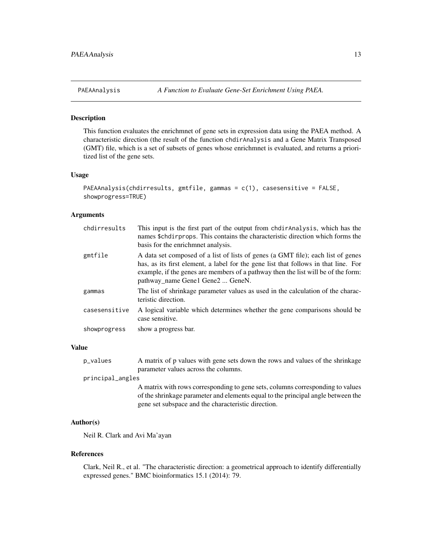<span id="page-12-0"></span>

# Description

This function evaluates the enrichmnet of gene sets in expression data using the PAEA method. A characteristic direction (the result of the function chdirAnalysis and a Gene Matrix Transposed (GMT) file, which is a set of subsets of genes whose enrichmnet is evaluated, and returns a prioritized list of the gene sets.

#### Usage

```
PAEAAnalysis(chdirresults, gmtfile, gammas = c(1), casesensitive = FALSE,
showprogress=TRUE)
```
#### Arguments

| chdirresults  | This input is the first part of the output from chdir Analysis, which has the<br>names \$chdirprops. This contains the characteristic direction which forms the<br>basis for the enrichment analysis.                                                                                            |
|---------------|--------------------------------------------------------------------------------------------------------------------------------------------------------------------------------------------------------------------------------------------------------------------------------------------------|
| gmtfile       | A data set composed of a list of lists of genes (a GMT file); each list of genes<br>has, as its first element, a label for the gene list that follows in that line. For<br>example, if the genes are members of a pathway then the list will be of the form:<br>pathway name Gene1 Gene2  GeneN. |
| gammas        | The list of shrinkage parameter values as used in the calculation of the charac-<br>teristic direction.                                                                                                                                                                                          |
| casesensitive | A logical variable which determines whether the gene comparisons should be<br>case sensitive.                                                                                                                                                                                                    |
| showprogress  | show a progress bar.                                                                                                                                                                                                                                                                             |

#### Value

p\_values A matrix of p values with gene sets down the rows and values of the shrinkage parameter values across the columns.

principal\_angles

A matrix with rows corresponding to gene sets, columns corresponding to values of the shrinkage parameter and elements equal to the principal angle between the gene set subspace and the characteristic direction.

# Author(s)

Neil R. Clark and Avi Ma'ayan

#### References

Clark, Neil R., et al. "The characteristic direction: a geometrical approach to identify differentially expressed genes." BMC bioinformatics 15.1 (2014): 79.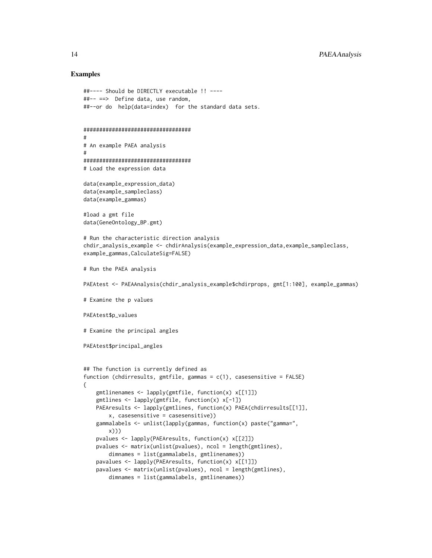```
##---- Should be DIRECTLY executable !! ----
##-- ==> Define data, use random,
##--or do help(data=index) for the standard data sets.
##################################
#
# An example PAEA analysis
#
##################################
# Load the expression data
data(example_expression_data)
data(example_sampleclass)
data(example_gammas)
#load a gmt file
data(GeneOntology_BP.gmt)
# Run the characteristic direction analysis
chdir_analysis_example <- chdirAnalysis(example_expression_data,example_sampleclass,
example_gammas,CalculateSig=FALSE)
# Run the PAEA analysis
PAEAtest <- PAEAAnalysis(chdir_analysis_example$chdirprops, gmt[1:100], example_gammas)
# Examine the p values
PAEAtest$p_values
# Examine the principal angles
PAEAtest$principal_angles
## The function is currently defined as
function (chdirresults, gmtfile, gammas = c(1), casesensitive = FALSE)
{
    gmtlinenames <- lapply(gmtfile, function(x) x[[1]])
   gmtlines <- lapply(gmtfile, function(x) x[-1])
   PAEAresults <- lapply(gmtlines, function(x) PAEA(chdirresults[[1]],
       x, casesensitive = casesensitive))
    gammalabels <- unlist(lapply(gammas, function(x) paste("gamma=",
       x)))
    pvalues <- lapply(PAEAresults, function(x) x[[2]])
    pvalues <- matrix(unlist(pvalues), ncol = length(gmtlines),
       dimnames = list(gammalabels, gmtlinenames))
    pavalues <- lapply(PAEAresults, function(x) x[[1]])
   pavalues <- matrix(unlist(pvalues), ncol = length(gmtlines),
       dimnames = list(gammalabels, gmtlinenames))
```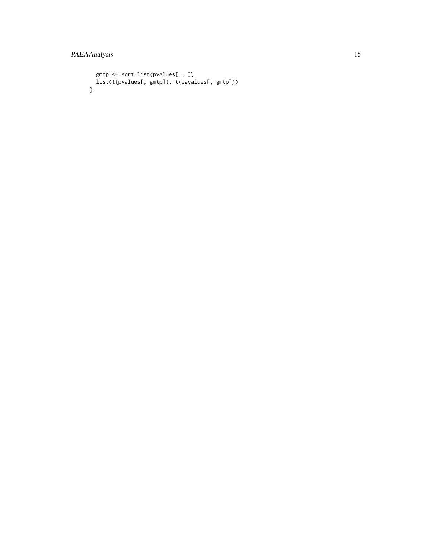```
gmtp <- sort.list(pvalues[1, ])
 list(t(pvalues[, gmtp]), t(pavalues[, gmtp]))}
```